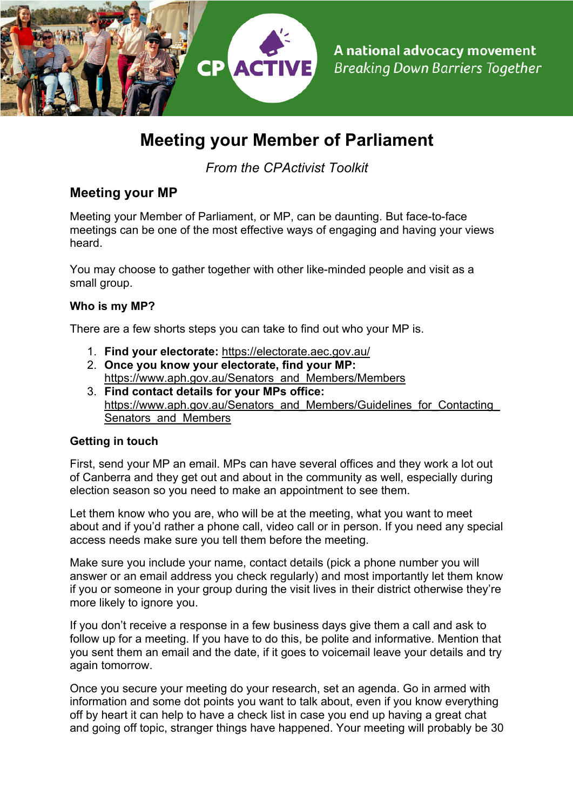

# **Meeting your Member of Parliament**

*From the CPActivist Toolkit*

## **Meeting your MP**

Meeting your Member of Parliament, or MP, can be daunting. But face-to-face meetings can be one of the most effective ways of engaging and having your views heard.

You may choose to gather together with other like-minded people and visit as a small group.

#### **Who is my MP?**

There are a few shorts steps you can take to find out who your MP is.

- 1. **Find your electorate:** https://electorate.aec.gov.au/
- 2. **Once you know your electorate, find your MP:**  https://www.aph.gov.au/Senators\_and\_Members/Members
- 3. **Find contact details for your MPs office:**  https://www.aph.gov.au/Senators\_and\_Members/Guidelines\_for\_Contacting Senators and Members

### **Getting in touch**

First, send your MP an email. MPs can have several offices and they work a lot out of Canberra and they get out and about in the community as well, especially during election season so you need to make an appointment to see them.

Let them know who you are, who will be at the meeting, what you want to meet about and if you'd rather a phone call, video call or in person. If you need any special access needs make sure you tell them before the meeting.

Make sure you include your name, contact details (pick a phone number you will answer or an email address you check regularly) and most importantly let them know if you or someone in your group during the visit lives in their district otherwise they're more likely to ignore you.

If you don't receive a response in a few business days give them a call and ask to follow up for a meeting. If you have to do this, be polite and informative. Mention that you sent them an email and the date, if it goes to voicemail leave your details and try again tomorrow.

Once you secure your meeting do your research, set an agenda. Go in armed with information and some dot points you want to talk about, even if you know everything off by heart it can help to have a check list in case you end up having a great chat and going off topic, stranger things have happened. Your meeting will probably be 30